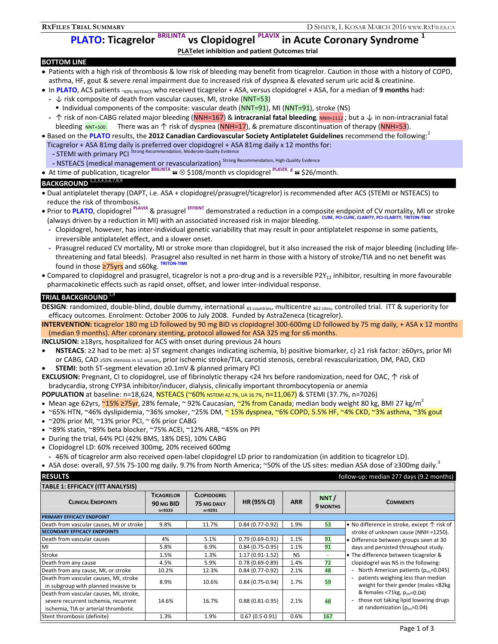# **RXFILES TRIAL SUMMARY** D SHMYR, L KOSAR MARCH 2016 WWW.RXFILES.CA<br> **PLATO: Ticagrelor <sup>BRILINTA</sup> vs Clopidogrel <sup>PLAVIX</sup> in Acute Coronary Syndrome<sup>1</sup> vs Clopidogrel PLAVIX** in Acute Coronary Syndrome <sup>1</sup>

## **PLATelet inhibition and patient Outcomes trial**

## **BOTTOM LINE**

- Patients with a high risk of thrombosis & low risk of bleeding may benefit from ticagrelor. Caution in those with a history of COPD, asthma, HF, gout & severe renal impairment due to increased risk of dyspnea & elevated serum uric acid & creatinine.
- In **PLATO**, ACS patients ~60% NSTEACS who received ticagrelor + ASA, versus clopidogrel + ASA, for a median of **9 months** had:
- **-** ↓ risk composite of death from vascular causes, MI, stroke (NNT=53)
	- Individual components of the composite: vascular death (NNT=91), MI (NNT=91), stroke (NS)
- **-** ↑ risk of non-CABG related major bleeding (NNH=167) & **intracranial fatal bleeding**, NNH=1112 ; but a ↓ in non-intracranial fatal bleeding NNT=500. There was an  $\uparrow$  risk of dyspnea (NNH=17), & premature discontinuation of therapy (NNH=53).
- **Based on the PLATO results, the 2012 Canadian Cardiovascular Society Antiplatelet Guidelines recommend the following:** Ticagrelor + ASA 81mg daily is preferred over clopidogrel + ASA 81mg daily x 12 months for: **- STEMI with primary PCI** Strong Recommendation, Moderate-Quality Evidence
	- NSTEACS (medical management or revascularization) Strong Recommendation, High-Quality Evidence
- At time of publication, ticagrelor **BRILINTA** \$108/month vs clopidogrel **PLAVIX**, **<sup>g</sup>** \$26/month.

# **BACKGROUND** 1,2,3,4,5,6,7,8,9

- Dual antiplatelet therapy (DAPT, i.e. ASA + clopidogrel/prasugrel/ticagrelor) is recommended after ACS (STEMI or NSTEACS) to reduce the risk of thrombosis.
- Prior to **PLATO**, clopidogrel **PLAVIX** & prasugrel **EFFIENT** demonstrated a reduction in a composite endpoint of CV mortality, MI or stroke (always driven by a reduction in MI) with an associated increased risk in major bleeding. **CURE, PCI-CURE, CLARITY, PCI-CLARITY, TRITON-TIMI** 
	- **-** Clopidogrel, however, has inter-individual genetic variability that may result in poor antiplatelet response in some patients, irreversible antiplatelet effect, and a slower onset.
	- **-** Prasugrel reduced CV mortality, MI or stroke more than clopidogrel, but it also increased the risk of major bleeding (including lifethreatening and fatal bleeds). Prasugrel also resulted in net harm in those with a history of stroke/TIA and no net benefit was found in those ≥75yrs and ≤60kg. **TRITON-TIMI**
- Compared to clopidogrel and prasugrel, ticagrelor is not a pro-drug and is a reversible P2Y<sub>12</sub> inhibitor, resulting in more favourable pharmacokinetic effects such as rapid onset, offset, and lower inter-individual response.

## **TRIAL BACKGROUND<sup>1</sup>**

**DESIGN**: randomized, double-blind, double dummy, international <sub>43 countries</sub>, multicentre <sub>862 sites</sub>, controlled trial. ITT & superiority for efficacy outcomes. Enrolment: October 2006 to July 2008. Funded by AstraZeneca (ticagrelor).

**INTERVENTION:** ticagrelor 180 mg LD followed by 90 mg BID vs clopidogrel 300-600mg LD followed by 75 mg daily, + ASA x 12 months (median 9 months). After coronary stenting, protocol allowed for ASA 325 mg for ≤6 months.

**INCLUSION:** ≥18yrs, hospitalized for ACS with onset during previous 24 hours

- **NSTEACS**: ≥2 had to be met: a) ST segment changes indicating ischemia, b) positive biomarker, c) ≥1 risk factor: ≥60yrs, prior MI or CABG, CAD ≥50% stenosis in ≥2 vessels, prior ischemic stroke/TIA, carotid stenosis, cerebral revascularization, DM, PAD, CKD
- **STEMI**: both ST-segment elevation ≥0.1mV & planned primary PCI

**EXCLUSION:** Pregnant, CI to clopidogrel, use of fibrinolytic therapy <24 hrs before randomization, need for OAC, ↑ risk of bradycardia, strong CYP3A inhibitor/inducer, dialysis, clinically important thrombocytopenia or anemia

**POPULATION** at baseline: n=18,624, NSTEACS (~60% NSTEMI 42.7%, UA 16.7%, n=11,067) & STEMI (37.7%, n=7026)

- Mean age 62yrs, ~15% ≥75yr, 28% female, ~ 92% Caucasian, ~2% from Canada; median body weight 80 kg, BMI 27 kg/m<sup>2</sup>
- ~65% HTN, ~46% dyslipidemia, ~36% smoker, ~25% DM, <mark>~ 15% dyspnea, ~6% COPD, 5.5% HF, ~4% CKD, ~3% asthma, ~3% gout</mark>
- ~20% prior MI, ~13% prior PCI, ~ 6% prior CABG
- ~89% statin, ~89% beta blocker, ~75% ACEI, ~12% ARB, ~45% on PPI
- During the trial, 64% PCI (42% BMS, 18% DES), 10% CABG
- Clopidogrel LD: 60% received 300mg, 20% received 600mg
- **-** 46% of ticagrelor arm also received open-label clopidogrel LD prior to randomization (in addition to ticagrelor LD).

• ASA dose: overall, 97.5% 75-100 mg daily. 9.7% from North America; ~50% of the US sites: median ASA dose of ≥300mg daily.<sup>3</sup>

### **RESULTS** follow-up: median 277 days (9.2 months)

| TABLE 1: EFFICACY (ITT ANALYSIS) |  |
|----------------------------------|--|

| I ABLE 1: EFFICACY (II I ANALYSIS)                                                                                      |                                              |                                                    |                     |            |                         |                                                                                                                                                   |
|-------------------------------------------------------------------------------------------------------------------------|----------------------------------------------|----------------------------------------------------|---------------------|------------|-------------------------|---------------------------------------------------------------------------------------------------------------------------------------------------|
| <b>CLINICAL ENDPOINTS</b>                                                                                               | <b>TICAGRELOR</b><br>90 MG BID<br>$n = 9333$ | <b>CLOPIDOGREL</b><br><b>75 MG DAILY</b><br>n=9291 | <b>HR (95% CI)</b>  | <b>ARR</b> | NNT/<br><b>9 MONTHS</b> | <b>COMMENTS</b>                                                                                                                                   |
| <b>PRIMARY EFFICACY ENDPOINT</b>                                                                                        |                                              |                                                    |                     |            |                         |                                                                                                                                                   |
| Death from vascular causes, MI or stroke                                                                                | 9.8%                                         | 11.7%                                              | $0.84(0.77-0.92)$   | 1.9%       | 53                      | • No difference in stroke, except $\uparrow$ risk of                                                                                              |
| <b>SECONDARY EFFICACY ENDPOINTS</b>                                                                                     |                                              |                                                    |                     |            |                         | stroke of unknown cause (NNH =1250).                                                                                                              |
| Death from vascular causes                                                                                              | 4%                                           | 5.1%                                               | $0.79(0.69-0.91)$   | 1.1%       | 91                      | • Difference between groups seen at 30                                                                                                            |
| MI                                                                                                                      | 5.8%                                         | 6.9%                                               | $0.84(0.75-0.95)$   | 1.1%       | 91                      | days and persisted throughout study.                                                                                                              |
| Stroke                                                                                                                  | 1.5%                                         | 1.3%                                               | $1.17(0.91-1.52)$   | <b>NS</b>  |                         | • The difference between ticagrelor &                                                                                                             |
| Death from any cause                                                                                                    | 4.5%                                         | 5.9%                                               | $0.78(0.69 - 0.89)$ | 1.4%       | 72                      | clopidogrel was NS in the following:                                                                                                              |
| Death from any cause, MI, or stroke                                                                                     | 10.2%                                        | 12.3%                                              | $0.84(0.77-0.92)$   | 2.1%       | 48                      | - North American patients $(p_{int}=0.045)$                                                                                                       |
| Death from vascular causes, MI, stroke<br>in subgroup with planned invasive tx                                          | 8.9%                                         | 10.6%                                              | $0.84(0.75-0.94)$   | 1.7%       | 59                      | patients weighing less than median<br>weight for their gender (males <82kg                                                                        |
| Death from vascular causes, MI, stroke,<br>severe recurrent ischemia, recurrent<br>ischemia, TIA or arterial thrombotic | 14.6%                                        | 16.7%                                              | $0.88(0.81 - 0.95)$ | 2.1%       | 48                      | & females <71 $kg$ , $p_{int}$ =0.04)<br>those not taking lipid lowering drugs<br>$\overline{\phantom{a}}$<br>at randomization ( $p_{int}=0.04$ ) |
| Stent thrombosis (definite)                                                                                             | 1.3%                                         | 1.9%                                               | $0.67(0.5-0.91)$    | 0.6%       | 167                     |                                                                                                                                                   |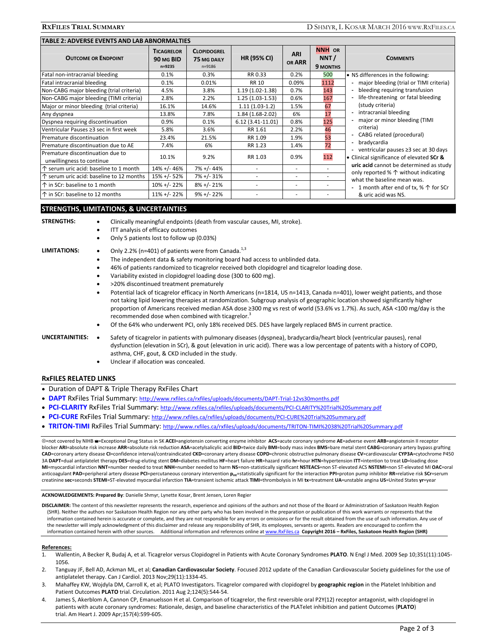| TABLE 2: ADVERSE EVENTS AND LAB ABNORMALTIES                  |                                          |                                                 |                     |                             |                                   |                                                                                                                                                                                                                                                                                                                                                                                                                                                                                                       |  |  |
|---------------------------------------------------------------|------------------------------------------|-------------------------------------------------|---------------------|-----------------------------|-----------------------------------|-------------------------------------------------------------------------------------------------------------------------------------------------------------------------------------------------------------------------------------------------------------------------------------------------------------------------------------------------------------------------------------------------------------------------------------------------------------------------------------------------------|--|--|
| <b>OUTCOME OR ENDPOINT</b>                                    | <b>TICAGRELOR</b><br>90 MG BID<br>n=9235 | <b>CLOPIDOGREL</b><br>75 MG DAILY<br>$n = 9186$ | <b>HR (95% CI)</b>  | <b>ARI</b><br><b>OR ARR</b> | <b>NNH OR</b><br>NNT/<br>9 MONTHS | <b>COMMENTS</b>                                                                                                                                                                                                                                                                                                                                                                                                                                                                                       |  |  |
| Fatal non-intracranial bleeding                               | 0.1%                                     | 0.3%                                            | RR 0.33             | 0.2%                        | 500                               | • NS differences in the following:                                                                                                                                                                                                                                                                                                                                                                                                                                                                    |  |  |
| Fatal intracranial bleeding                                   | 0.1%                                     | 0.01%                                           | RR 10               | 0.09%                       | 1112                              | - major bleeding (trial or TIMI criteria)                                                                                                                                                                                                                                                                                                                                                                                                                                                             |  |  |
| Non-CABG major bleeding (trial criteria)                      | 4.5%                                     | 3.8%                                            | $1.19(1.02 - 1.38)$ | 0.7%                        | 143                               | bleeding requiring transfusion<br>life-threatening or fatal bleeding<br>(study criteria)<br>- intracranial bleeding<br>major or minor bleeding (TIMI<br>criteria)<br>CABG related (procedural)<br>bradycardia<br>ventricular pauses ≥3 sec at 30 days<br>Clinical significance of elevated SCr &<br>uric acid cannot be determined as study<br>only reported % $\uparrow$ without indicating<br>what the baseline mean was.<br>- 1 month after end of tx, % $\uparrow$ for SCr<br>& uric acid was NS. |  |  |
| Non-CABG major bleeding (TIMI criteria)                       | 2.8%                                     | 2.2%                                            | $1.25(1.03-1.53)$   | 0.6%                        | 167                               |                                                                                                                                                                                                                                                                                                                                                                                                                                                                                                       |  |  |
| Major or minor bleeding (trial criteria)                      | 16.1%                                    | 14.6%                                           | $1.11(1.03-1.2)$    | 1.5%                        | 67                                |                                                                                                                                                                                                                                                                                                                                                                                                                                                                                                       |  |  |
| Any dyspnea                                                   | 13.8%                                    | 7.8%                                            | $1.84(1.68-2.02)$   | 6%                          | 17                                |                                                                                                                                                                                                                                                                                                                                                                                                                                                                                                       |  |  |
| Dyspnea requiring discontinuation                             | 0.9%                                     | 0.1%                                            | $6.12(3.41-11.01)$  | 0.8%                        | 125                               |                                                                                                                                                                                                                                                                                                                                                                                                                                                                                                       |  |  |
| Ventricular Pauses ≥3 sec in first week                       | 5.8%                                     | 3.6%                                            | RR 1.61             | 2.2%                        | 46                                |                                                                                                                                                                                                                                                                                                                                                                                                                                                                                                       |  |  |
| Premature discontinuation                                     | 23.4%                                    | 21.5%                                           | RR 1.09             | 1.9%                        | 53                                |                                                                                                                                                                                                                                                                                                                                                                                                                                                                                                       |  |  |
| Premature discontinuation due to AE                           | 7.4%                                     | 6%                                              | RR 1.23             | 1.4%                        | 72                                |                                                                                                                                                                                                                                                                                                                                                                                                                                                                                                       |  |  |
| Premature discontinuation due to<br>unwillingness to continue | 10.1%                                    | 9.2%                                            | RR 1.03             | 0.9%                        | 112                               |                                                                                                                                                                                                                                                                                                                                                                                                                                                                                                       |  |  |
| $\uparrow$ serum uric acid: baseline to 1 month               | 14% +/- 46%                              | 7% +/- 44%                                      |                     | ٠                           |                                   |                                                                                                                                                                                                                                                                                                                                                                                                                                                                                                       |  |  |
| ↑ serum uric acid: baseline to 12 months                      | 15% +/- 52%                              | 7% +/- 31%                                      | ٠                   | ٠                           |                                   |                                                                                                                                                                                                                                                                                                                                                                                                                                                                                                       |  |  |
| ↑ in SCr: baseline to 1 month                                 | $10\% + (-22\%$                          | $8\% + (-21\%)$                                 |                     | ٠                           |                                   |                                                                                                                                                                                                                                                                                                                                                                                                                                                                                                       |  |  |
| ↑ in SCr: baseline to 12 months                               | $11\% + (-22\%)$                         | $9\% + (-22\%$                                  |                     |                             |                                   |                                                                                                                                                                                                                                                                                                                                                                                                                                                                                                       |  |  |

### **STRENGTHS, LIMITATIONS, & UNCERTAINTIES**

- **STRENGTHS:** . Clinically meaningful endpoints (death from vascular causes, MI, stroke).
	- ITT analysis of efficacy outcomes
		- Only 5 patients lost to follow up (0.03%)

- LIMITATIONS: Only 2.2% (n=401) of patients were from Canada.<sup>1,3</sup>
	- The independent data & safety monitoring board had access to unblinded data.
	- 46% of patients randomized to ticagrelor received both clopidogrel and ticagrelor loading dose.
	- Variability existed in clopidogrel loading dose (300 to 600 mg).
	- >20% discontinued treatment prematurely
	- Potential lack of ticagrelor efficacy in North Americans (n=1814, US n=1413, Canada n=401), lower weight patients, and those not taking lipid lowering therapies at randomization. Subgroup analysis of geographic location showed significantly higher proportion of Americans received median ASA dose ≥300 mg vs rest of world (53.6% vs 1.7%). As such, ASA <100 mg/day is the recommended dose when combined with ticagrelor.<sup>3</sup>
	- Of the 64% who underwent PCI, only 18% received DES. DES have largely replaced BMS in current practice.

### UNCERTAINITIES: . Safety of ticagrelor in patients with pulmonary diseases (dyspnea), bradycardia/heart block (ventricular pauses), renal dysfunction (elevation in SCr), & gout (elevation in uric acid). There was a low percentage of patents with a history of COPD, asthma, CHF, gout, & CKD included in the study.

Unclear if allocation was concealed.

### **RxFILES RELATED LINKS**

- Duration of DAPT & Triple Therapy RxFiles Chart
- **DAPT** RxFiles Trial Summary: http://www.rxfiles.ca/rxfiles/uploads/documents/DAPT-Trial-12vs30months.pdf
- **PCI-CLARITY** RxFiles Trial Summary: http://www.rxfiles.ca/rxfiles/uploads/documents/PCI-CLARITY%20Trial%20Summary.pdf
- **PCI-CURE** RxFiles Trial Summary: http://www.rxfiles.ca/rxfiles/uploads/documents/PCI-CURE%20Trial%20Summary.pdf
- **TRITON-TIMI** RxFiles Trial Summary: http://www.rxfiles.ca/rxfiles/uploads/documents/TRITON-TIMI%2038%20Trial%20Summary.pdf

=not covered by NIHB =Exceptional Drug Status in SK **ACEI**=angiotensin converting enzyme inhibitor **ACS**=acute coronary syndrome **AE**=adverse event **ARB**=angiotensin II receptor blocker ARI=absolute risk increase ARR=absolute risk reduction ASA=acetylsalicylic acid BID=twice daily BMI=body mass index BMS=bare metal stent CABG=coronary artery bypass grafting **CAD**=coronary artery disease **CI**=confidence interval/contraindicated **CKD**=coronary artery disease **COPD**=chronic obstructive pulmonary disease **CV**=cardiovascular **CYP3A**=cytochrome P450 3A DAPT=dual antiplatelet therapy DES=drug-eluting stent DM=diabetes mellitus HF=heart failure HR=hazard ratio hr=hour HTN=hypertension ITT=intention to treat LD=loading dose **MI**=myocardial infarction **NNT**=number needed to treat **NNH**=number needed to harm **NS**=non-statistically significant **NSTEACS**=non ST-elevated ACS **NSTEMI**=non ST-elevated MI **OAC**=oral anticoagulant PAD=peripheral artery disease PCI=percutaneous coronary intervention p<sub>int</sub>=statistically significant for the interaction PPI=proton pump inhibitor RR=relative risk SCr=serum creatinine sec=seconds STEMI=ST-elevated myocardial infarction TIA=transient ischemic attack TIMI=thrombolysis in MI tx=treatment UA=unstable angina US=United States yr=year

**ACKNOWLEDGEMENTS: Prepared By**: Danielle Shmyr, Lynette Kosar, Brent Jensen, Loren Regier

**DISCLAIMER:** The content of this newsletter represents the research, experience and opinions of the authors and not those of the Board or Administration of Saskatoon Health Region (SHR). Neither the authors nor Saskatoon Health Region nor any other party who has been involved in the preparation or publication of this work warrants or represents that the information contained herein is accurate or complete, and they are not responsible for any errors or omissions or for the result obtained from the use of such information. Any use of the newsletter will imply acknowledgment of this disclaimer and release any responsibility of SHR, its employees, servants or agents. Readers are encouraged to confirm the information contained herein with other sources. Additional information and references online at www.RxFiles.ca Copyright 2016 - RxFiles, Saskatoon Health Region (SHR)

### **References:**

- 1. Wallentin, A Becker R, Budaj A, et al. Ticagrelor versus Clopidogrel in Patients with Acute Coronary Syndromes **PLATO**. N Engl J Med. 2009 Sep 10;351(11):1045- 1056.
- 2. Tanguay JF, Bell AD, Ackman ML, et al; **Canadian Cardiovascular Society**. Focused 2012 update of the Canadian Cardiovascular Society guidelines for the use of antiplatelet therapy. Can J Cardiol. 2013 Nov;29(11):1334-45.
- 3. Mahaffey KW, Wojdyla DM, Carroll K, et al; PLATO Investigators. Ticagrelor compared with clopidogrel by **geographic region** in the Platelet Inhibition and Patient Outcomes **PLATO** trial. Circulation. 2011 Aug 2;124(5):544-54.
- 4. James S, Akerblom A, Cannon CP, Emanuelsson H et al. Comparison of ticagrelor, the first reversible oral P2Y(12) receptor antagonist, with clopidogrel in patients with acute coronary syndromes: Rationale, design, and baseline characteristics of the PLATelet inhibition and patient Outcomes (**PLATO**) trial. Am Heart J. 2009 Apr;157(4):599-605.